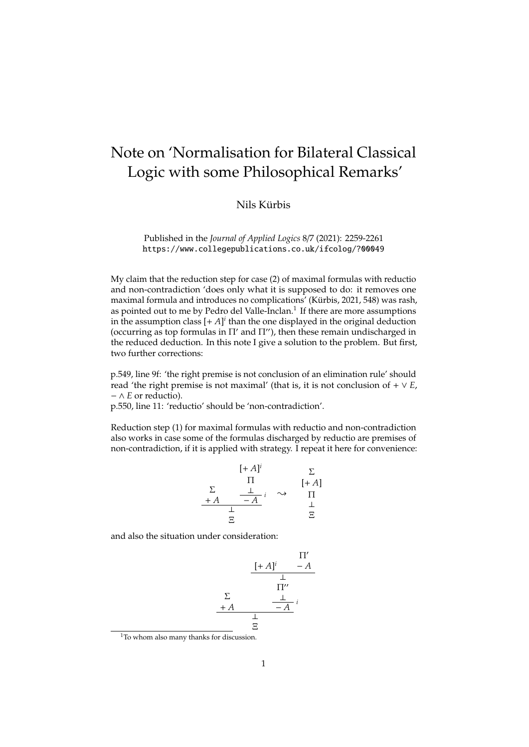## Note on 'Normalisation for Bilateral Classical Logic with some Philosophical Remarks'

## Nils Kürbis

Published in the *Journal of Applied Logics* 8/7 (2021): 2259-2261 https://www.collegepublications.co.uk/ifcolog/?00049

My claim that the reduction step for case (2) of maximal formulas with reductio and non-contradiction 'does only what it is supposed to do: it removes one maximal formula and introduces no complications' (Kürbis, 2021, 548) was rash, as pointed out to me by Pedro del Valle-Inclan.<sup>1</sup> If there are more assumptions in the assumption class  $[+A]^i$  than the one displayed in the original deduction (occurring as top formulas in  $\Pi'$  and  $\Pi''$ ), then these remain undischarged in the reduced deduction. In this note I give a solution to the problem. But first, two further corrections:

p.549, line 9f: 'the right premise is not conclusion of an elimination rule' should read 'the right premise is not maximal' (that is, it is not conclusion of  $+ \vee E$ , − ∧ *E* or reductio).

p.550, line 11: 'reductio' should be 'non-contradiction'.

Reduction step (1) for maximal formulas with reductio and non-contradiction also works in case some of the formulas discharged by reductio are premises of non-contradiction, if it is applied with strategy. I repeat it here for convenience:

$$
\begin{array}{ccc}\n & [+A]^i & \Sigma \\
\Sigma & \Pi & [+A] \\
\Sigma & \perp & \rightarrow & \Pi \\
\frac{\bot}{\Xi} & & \stackrel{\bot}{\Xi}\n\end{array}
$$

and also the situation under consideration:

$$
\begin{array}{ccc}\n & & \Pi' \\
\frac{[+A]^i & -A}{\perp} \\
\frac{\Sigma}{\Pi''} & & \\
\frac{+A}{\perp} & & \frac{1}{\Xi}\n\end{array}
$$

<sup>1</sup>To whom also many thanks for discussion.